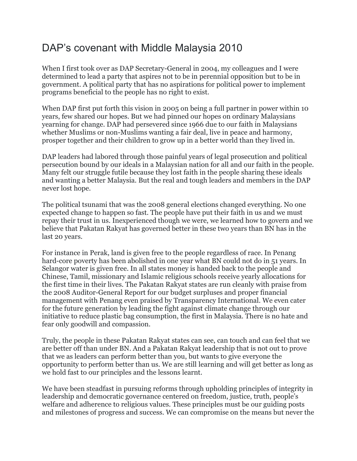# DAP's covenant with Middle Malaysia 2010

When I first took over as DAP Secretary-General in 2004, my colleagues and I were determined to lead a party that aspires not to be in perennial opposition but to be in government. A political party that has no aspirations for political power to implement programs beneficial to the people has no right to exist.

When DAP first put forth this vision in 2005 on being a full partner in power within 10 years, few shared our hopes. But we had pinned our hopes on ordinary Malaysians yearning for change. DAP had persevered since 1966 due to our faith in Malaysians whether Muslims or non-Muslims wanting a fair deal, live in peace and harmony, prosper together and their children to grow up in a better world than they lived in.

DAP leaders had labored through those painful years of legal prosecution and political persecution bound by our ideals in a Malaysian nation for all and our faith in the people. Many felt our struggle futile because they lost faith in the people sharing these ideals and wanting a better Malaysia. But the real and tough leaders and members in the DAP never lost hope.

The political tsunami that was the 2008 general elections changed everything. No one expected change to happen so fast. The people have put their faith in us and we must repay their trust in us. Inexperienced though we were, we learned how to govern and we believe that Pakatan Rakyat has governed better in these two years than BN has in the last 20 years.

For instance in Perak, land is given free to the people regardless of race. In Penang hard-core poverty has been abolished in one year what BN could not do in 51 years. In Selangor water is given free. In all states money is handed back to the people and Chinese, Tamil, missionary and Islamic religious schools receive yearly allocations for the first time in their lives. The Pakatan Rakyat states are run cleanly with praise from the 2008 Auditor-General Report for our budget surpluses and proper financial management with Penang even praised by Transparency International. We even cater for the future generation by leading the fight against climate change through our initiative to reduce plastic bag consumption, the first in Malaysia. There is no hate and fear only goodwill and compassion.

Truly, the people in these Pakatan Rakyat states can see, can touch and can feel that we are better off than under BN. And a Pakatan Rakyat leadership that is not out to prove that we as leaders can perform better than you, but wants to give everyone the opportunity to perform better than us. We are still learning and will get better as long as we hold fast to our principles and the lessons learnt.

We have been steadfast in pursuing reforms through upholding principles of integrity in leadership and democratic governance centered on freedom, justice, truth, people's welfare and adherence to religious values. These principles must be our guiding posts and milestones of progress and success. We can compromise on the means but never the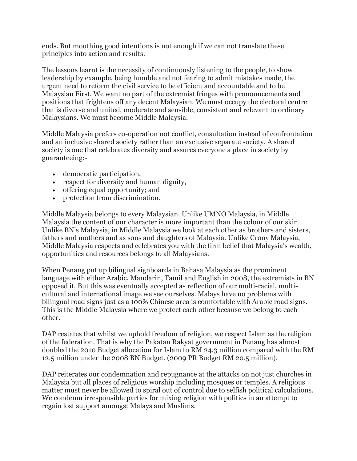ends. But mouthing good intentions is not enough if we can not translate these principles into action and results.

The lessons learnt is the necessity of continuously listening to the people, to show leadership by example, being humble and not fearing to admit mistakes made, the urgent need to reform the civil service to be efficient and accountable and to be Malaysian First. We want no part of the extremist fringes with pronouncements and positions that frightens off any decent Malaysian. We must occupy the electoral centre that is diverse and united, moderate and sensible, consistent and relevant to ordinary Malaysians. We must become Middle Malaysia.

Middle Malaysia prefers co-operation not conflict, consultation instead of confrontation and an inclusive shared society rather than an exclusive separate society. A shared society is one that celebrates diversity and assures everyone a place in society by guaranteeing:-

- democratic participation,
- respect for diversity and human dignity,
- offering equal opportunity; and
- protection from discrimination.

Middle Malaysia belongs to every Malaysian. Unlike UMNO Malaysia, in Middle Malaysia the content of our character is more important than the colour of our skin. Unlike BN's Malaysia, in Middle Malaysia we look at each other as brothers and sisters, fathers and mothers and as sons and daughters of Malaysia. Unlike Crony Malaysia, Middle Malaysia respects and celebrates you with the firm belief that Malaysia's wealth, opportunities and resources belongs to all Malaysians.

When Penang put up bilingual signboards in Bahasa Malaysia as the prominent language with either Arabic, Mandarin, Tamil and English in 2008, the extremists in BN opposed it. But this was eventually accepted as reflection of our multi-racial, multicultural and international image we see ourselves. Malays have no problems with bilingual road signs just as a 100% Chinese area is comfortable with Arabic road signs. This is the Middle Malaysia where we protect each other because we belong to each other.

DAP restates that whilst we uphold freedom of religion, we respect Islam as the religion of the federation. That is why the Pakatan Rakyat government in Penang has almost doubled the 2010 Budget allocation for Islam to RM 24.3 million compared with the RM 12.5 million under the 2008 BN Budget. (2009 PR Budget RM 20.5 million).

DAP reiterates our condemnation and repugnance at the attacks on not just churches in Malaysia but all places of religious worship including mosques or temples. A religious matter must never be allowed to spiral out of control due to selfish political calculations. We condemn irresponsible parties for mixing religion with politics in an attempt to regain lost support amongst Malays and Muslims.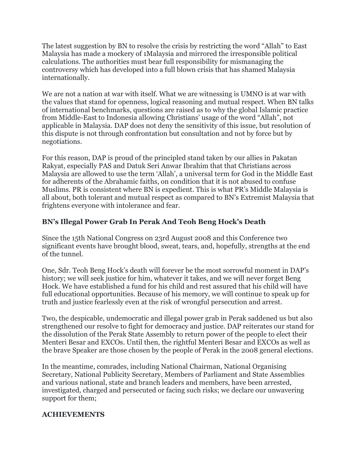The latest suggestion by BN to resolve the crisis by restricting the word "Allah" to East Malaysia has made a mockery of 1Malaysia and mirrored the irresponsible political calculations. The authorities must bear full responsibility for mismanaging the controversy which has developed into a full blown crisis that has shamed Malaysia internationally.

We are not a nation at war with itself. What we are witnessing is UMNO is at war with the values that stand for openness, logical reasoning and mutual respect. When BN talks of international benchmarks, questions are raised as to why the global Islamic practice from Middle-East to Indonesia allowing Christians' usage of the word "Allah", not applicable in Malaysia. DAP does not deny the sensitivity of this issue, but resolution of this dispute is not through confrontation but consultation and not by force but by negotiations.

For this reason, DAP is proud of the principled stand taken by our allies in Pakatan Rakyat, especially PAS and Datuk Seri Anwar Ibrahim that that Christians across Malaysia are allowed to use the term 'Allah', a universal term for God in the Middle East for adherents of the Abrahamic faiths, on condition that it is not abused to confuse Muslims. PR is consistent where BN is expedient. This is what PR's Middle Malaysia is all about, both tolerant and mutual respect as compared to BN's Extremist Malaysia that frightens everyone with intolerance and fear.

## **BN's Illegal Power Grab In Perak And Teoh Beng Hock's Death**

Since the 15th National Congress on 23rd August 2008 and this Conference two significant events have brought blood, sweat, tears, and, hopefully, strengths at the end of the tunnel.

One, Sdr. Teoh Beng Hock's death will forever be the most sorrowful moment in DAP's history; we will seek justice for him, whatever it takes, and we will never forget Beng Hock. We have established a fund for his child and rest assured that his child will have full educational opportunities. Because of his memory, we will continue to speak up for truth and justice fearlessly even at the risk of wrongful persecution and arrest.

Two, the despicable, undemocratic and illegal power grab in Perak saddened us but also strengthened our resolve to fight for democracy and justice. DAP reiterates our stand for the dissolution of the Perak State Assembly to return power of the people to elect their Menteri Besar and EXCOs. Until then, the rightful Menteri Besar and EXCOs as well as the brave Speaker are those chosen by the people of Perak in the 2008 general elections.

In the meantime, comrades, including National Chairman, National Organising Secretary, National Publicity Secretary, Members of Parliament and State Assemblies and various national, state and branch leaders and members, have been arrested, investigated, charged and persecuted or facing such risks; we declare our unwavering support for them;

### **ACHIEVEMENTS**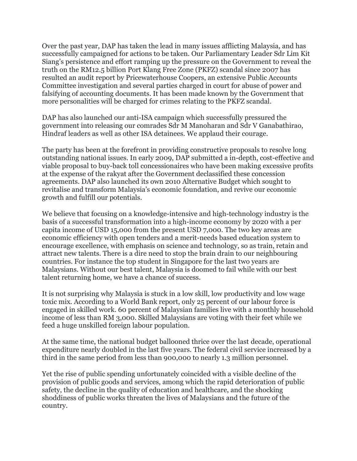Over the past year, DAP has taken the lead in many issues afflicting Malaysia, and has successfully campaigned for actions to be taken. Our Parliamentary Leader Sdr Lim Kit Siang's persistence and effort ramping up the pressure on the Government to reveal the truth on the RM12.5 billion Port Klang Free Zone (PKFZ) scandal since 2007 has resulted an audit report by Pricewaterhouse Coopers, an extensive Public Accounts Committee investigation and several parties charged in court for abuse of power and falsifying of accounting documents. It has been made known by the Government that more personalities will be charged for crimes relating to the PKFZ scandal.

DAP has also launched our anti-ISA campaign which successfully pressured the government into releasing our comrades Sdr M Manoharan and Sdr V Ganabathirao, Hindraf leaders as well as other ISA detainees. We applaud their courage.

The party has been at the forefront in providing constructive proposals to resolve long outstanding national issues. In early 2009, DAP submitted a in-depth, cost-effective and viable proposal to buy-back toll concessionaires who have been making excessive profits at the expense of the rakyat after the Government declassified these concession agreements. DAP also launched its own 2010 Alternative Budget which sought to revitalise and transform Malaysia's economic foundation, and revive our economic growth and fulfill our potentials.

We believe that focusing on a knowledge-intensive and high-technology industry is the basis of a successful transformation into a high-income economy by 2020 with a per capita income of USD 15,000 from the present USD 7,000. The two key areas are economic efficiency with open tenders and a merit-needs based education system to encourage excellence, with emphasis on science and technology, so as train, retain and attract new talents. There is a dire need to stop the brain drain to our neighbouring countries. For instance the top student in Singapore for the last two years are Malaysians. Without our best talent, Malaysia is doomed to fail while with our best talent returning home, we have a chance of success.

It is not surprising why Malaysia is stuck in a low skill, low productivity and low wage toxic mix. According to a World Bank report, only 25 percent of our labour force is engaged in skilled work. 60 percent of Malaysian families live with a monthly household income of less than RM 3,000. Skilled Malaysians are voting with their feet while we feed a huge unskilled foreign labour population.

At the same time, the national budget ballooned thrice over the last decade, operational expenditure nearly doubled in the last five years. The federal civil service increased by a third in the same period from less than 900,000 to nearly 1.3 million personnel.

Yet the rise of public spending unfortunately coincided with a visible decline of the provision of public goods and services, among which the rapid deterioration of public safety, the decline in the quality of education and healthcare, and the shocking shoddiness of public works threaten the lives of Malaysians and the future of the country.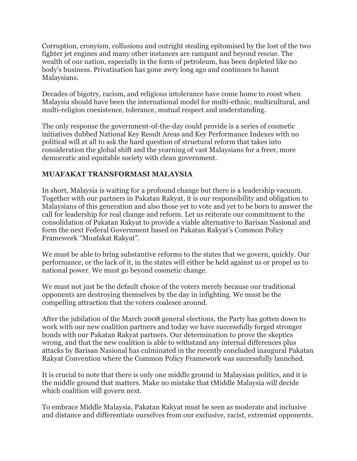Corruption, cronyism, collusions and outright stealing epitomised by the lost of the two fighter jet engines and many other instances are rampant and beyond rescue. The wealth of our nation, especially in the form of petroleum, has been depleted like no body's business. Privatisation has gone awry long ago and continues to haunt Malaysians.

Decades of bigotry, racism, and religious intolerance have come home to roost when Malaysia should have been the international model for multi-ethnic, multicultural, and multi-religion coexistence, tolerance, mutual respect and understanding.

The only response the government-of-the-day could provide is a series of cosmetic initiatives dubbed National Key Result Areas and Key Performance Indexes with no political will at all to ask the hard question of structural reform that takes into consideration the global shift and the yearning of vast Malaysians for a freer, more democratic and equitable society with clean government.

#### **MUAFAKAT TRANSFORMASI MALAYSIA**

In short, Malaysia is waiting for a profound change but there is a leadership vacuum. Together with our partners in Pakatan Rakyat, it is our responsibility and obligation to Malaysians of this generation and also those yet to vote and yet to be born to answer the call for leadership for real change and reform. Let us reiterate our commitment to the consolidation of Pakatan Rakyat to provide a viable alternative to Barisan Nasional and form the next Federal Government based on Pakatan Rakyat's Common Policy Framework "Muafakat Rakyat".

We must be able to bring substantive reforms to the states that we govern, quickly. Our performance, or the lack of it, in the states will either be held against us or propel us to national power. We must go beyond cosmetic change.

We must not just be the default choice of the voters merely because our traditional opponents are destroying themselves by the day in infighting. We must be the compelling attraction that the voters coalesce around.

After the jubilation of the March 2008 general elections, the Party has gotten down to work with our new coalition partners and today we have successfully forged stronger bonds with our Pakatan Rakyat partners. Our determination to prove the skeptics wrong, and that the new coalition is able to withstand any internal differences plus attacks by Barisan Nasional has culminated in the recently concluded inaugural Pakatan Rakyat Convention where the Common Policy Framework was successfully launched.

It is crucial to note that there is only one middle ground in Malaysian politics, and it is the middle ground that matters. Make no mistake that tMiddle Malaysia will decide which coalition will govern next.

To embrace Middle Malaysia, Pakatan Rakyat must be seen as moderate and inclusive and distance and differentiate ourselves from our exclusive, racist, extremist opponents.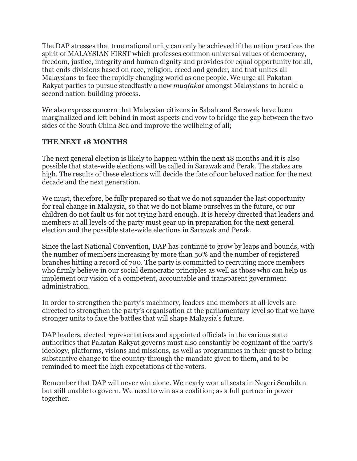The DAP stresses that true national unity can only be achieved if the nation practices the spirit of MALAYSIAN FIRST which professes common universal values of democracy, freedom, justice, integrity and human dignity and provides for equal opportunity for all, that ends divisions based on race, religion, creed and gender, and that unites all Malaysians to face the rapidly changing world as one people. We urge all Pakatan Rakyat parties to pursue steadfastly a new *muafakat* amongst Malaysians to herald a second nation-building process.

We also express concern that Malaysian citizens in Sabah and Sarawak have been marginalized and left behind in most aspects and vow to bridge the gap between the two sides of the South China Sea and improve the wellbeing of all;

#### **THE NEXT 18 MONTHS**

The next general election is likely to happen within the next 18 months and it is also possible that state-wide elections will be called in Sarawak and Perak. The stakes are high. The results of these elections will decide the fate of our beloved nation for the next decade and the next generation.

We must, therefore, be fully prepared so that we do not squander the last opportunity for real change in Malaysia, so that we do not blame ourselves in the future, or our children do not fault us for not trying hard enough. It is hereby directed that leaders and members at all levels of the party must gear up in preparation for the next general election and the possible state-wide elections in Sarawak and Perak.

Since the last National Convention, DAP has continue to grow by leaps and bounds, with the number of members increasing by more than 50% and the number of registered branches hitting a record of 700. The party is committed to recruiting more members who firmly believe in our social democratic principles as well as those who can help us implement our vision of a competent, accountable and transparent government administration.

In order to strengthen the party's machinery, leaders and members at all levels are directed to strengthen the party's organisation at the parliamentary level so that we have stronger units to face the battles that will shape Malaysia's future.

DAP leaders, elected representatives and appointed officials in the various state authorities that Pakatan Rakyat governs must also constantly be cognizant of the party's ideology, platforms, visions and missions, as well as programmes in their quest to bring substantive change to the country through the mandate given to them, and to be reminded to meet the high expectations of the voters.

Remember that DAP will never win alone. We nearly won all seats in Negeri Sembilan but still unable to govern. We need to win as a coalition; as a full partner in power together.